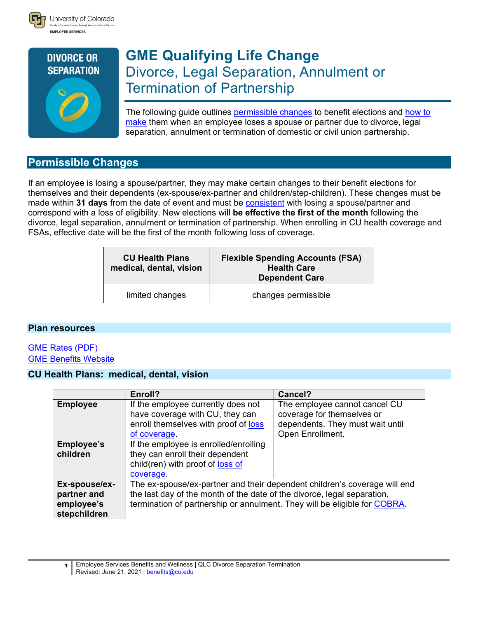



# **GME Qualifying Life Change** Divorce, Legal Separation, Annulment or Termination of Partnership

<span id="page-0-0"></span>The following guide outlines [permissible changes](#page-0-0) to benefit elections and [how to](#page-1-0)  [make](#page-1-0) them when an employee loses a spouse or partner due to divorce, legal separation, annulment or termination of domestic or civil union partnership.

# **Permissible Changes**

If an employee is losing a spouse/partner, they may make certain changes to their benefit elections for themselves and their dependents (ex-spouse/ex-partner and children/step-children). These changes must be made within **31 days** from the date of event and must be [consistent](#page-2-0) with losing a spouse/partner and correspond with a loss of eligibility. New elections will **be effective the first of the month** following the divorce, legal separation, annulment or termination of partnership. When enrolling in CU health coverage and FSAs, effective date will be the first of the month following loss of coverage.

| <b>CU Health Plans</b><br>medical, dental, vision | <b>Flexible Spending Accounts (FSA)</b><br><b>Health Care</b><br><b>Dependent Care</b> |
|---------------------------------------------------|----------------------------------------------------------------------------------------|
| limited changes                                   | changes permissible                                                                    |

## **Plan resources**

## [GME Rates \(PDF\)](http://www.cu.edu/node/244193) [GME Benefits Website](http://www.cu.edu/node/244049)

## **CU Health Plans: medical, dental, vision**

|                                                            | Enroll?                                                                                                                                                                                                                           | Cancel?                                                                                                             |  |
|------------------------------------------------------------|-----------------------------------------------------------------------------------------------------------------------------------------------------------------------------------------------------------------------------------|---------------------------------------------------------------------------------------------------------------------|--|
| <b>Employee</b>                                            | If the employee currently does not<br>have coverage with CU, they can<br>enroll themselves with proof of loss<br>of coverage                                                                                                      | The employee cannot cancel CU<br>coverage for themselves or<br>dependents. They must wait until<br>Open Enrollment. |  |
| <b>Employee's</b><br>children                              | If the employee is enrolled/enrolling<br>they can enroll their dependent<br>child(ren) with proof of loss of<br>coverage.                                                                                                         |                                                                                                                     |  |
| Ex-spouse/ex-<br>partner and<br>employee's<br>stepchildren | The ex-spouse/ex-partner and their dependent children's coverage will end<br>the last day of the month of the date of the divorce, legal separation,<br>termination of partnership or annulment. They will be eligible for COBRA. |                                                                                                                     |  |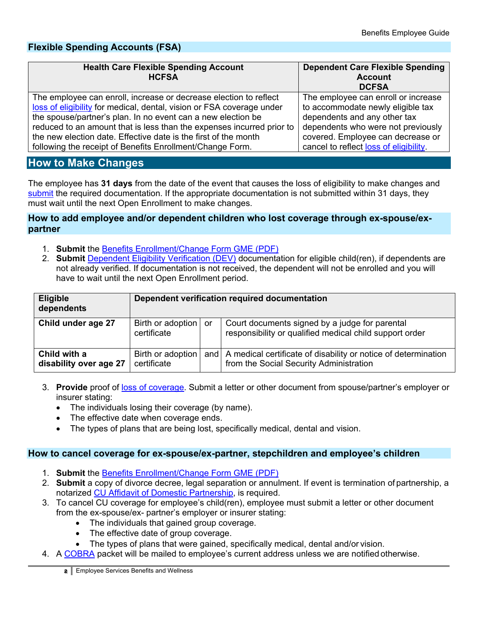# **Flexible Spending Accounts (FSA)**

| <b>Health Care Flexible Spending Account</b><br><b>HCFSA</b>          | <b>Dependent Care Flexible Spending</b><br><b>Account</b><br><b>DCFSA</b> |
|-----------------------------------------------------------------------|---------------------------------------------------------------------------|
| The employee can enroll, increase or decrease election to reflect     | The employee can enroll or increase                                       |
| loss of eligibility for medical, dental, vision or FSA coverage under | to accommodate newly eligible tax                                         |
| the spouse/partner's plan. In no event can a new election be          | dependents and any other tax                                              |
| reduced to an amount that is less than the expenses incurred prior to | dependents who were not previously                                        |
| the new election date. Effective date is the first of the month       | covered. Employee can decrease or                                         |
| following the receipt of Benefits Enrollment/Change Form.             | cancel to reflect loss of eligibility.                                    |

# <span id="page-1-0"></span>**How to Make Changes**

The employee has **31 days** from the date of the event that causes the loss of eligibility to make changes and [submit](#page-2-1) the required documentation. If the appropriate documentation is not submitted within 31 days, they must wait until the next Open Enrollment to make changes.

#### **How to add employee and/or dependent children who lost coverage through ex-spouse/expartner**

- 1. **Submit** the [Benefits Enrollment/Change Form GME](http://www.cu.edu/node/285231) (PDF)
- 2. **Submit** [Dependent Eligibility Verification \(DEV\)](https://content.cu.edu/EP/redirect/DependentEligibilityVerification/) documentation for eligible child(ren), if dependents are not already verified. If documentation is not received, the dependent will not be enrolled and you will have to wait until the next Open Enrollment period.

| <b>Eligible</b><br>dependents          | Dependent verification required documentation |  |                                                                                                                 |  |
|----------------------------------------|-----------------------------------------------|--|-----------------------------------------------------------------------------------------------------------------|--|
| Child under age 27                     | Birth or adoption or<br>certificate           |  | Court documents signed by a judge for parental<br>responsibility or qualified medical child support order       |  |
| Child with a<br>disability over age 27 | Birth or adoption<br>certificate              |  | and   A medical certificate of disability or notice of determination<br>from the Social Security Administration |  |

- 3. **Provide** proof of [loss of coverage.](#page-2-0) Submit a letter or other document from spouse/partner's employer or insurer stating:
	- The individuals losing their coverage (by name).
	- The effective date when coverage ends.
	- The types of plans that are being lost, specifically medical, dental and vision.

#### **How to cancel coverage for ex-spouse/ex-partner, stepchildren and employee's children**

- 1. **Submit** the [Benefits Enrollment/Change Form GME](http://www.cu.edu/node/285231) (PDF)
- 2. **Submit** a copy of divorce decree, legal separation or annulment. If event is termination of partnership, a notarized [CU Affidavit of Domestic Partnership,](http://www.cu.edu/node/115911) is required.
- 3. To cancel CU coverage for employee's child(ren), employee must submit a letter or other document from the ex-spouse/ex- partner's employer or insurer stating:
	- The individuals that gained group coverage.
	- The effective date of group coverage.
	- The types of plans that were gained, specifically medical, dental and/or vision.
- 4. A [COBRA](http://www.cu.edu/node/153146) packet will be mailed to employee's current address unless we are notified otherwise.